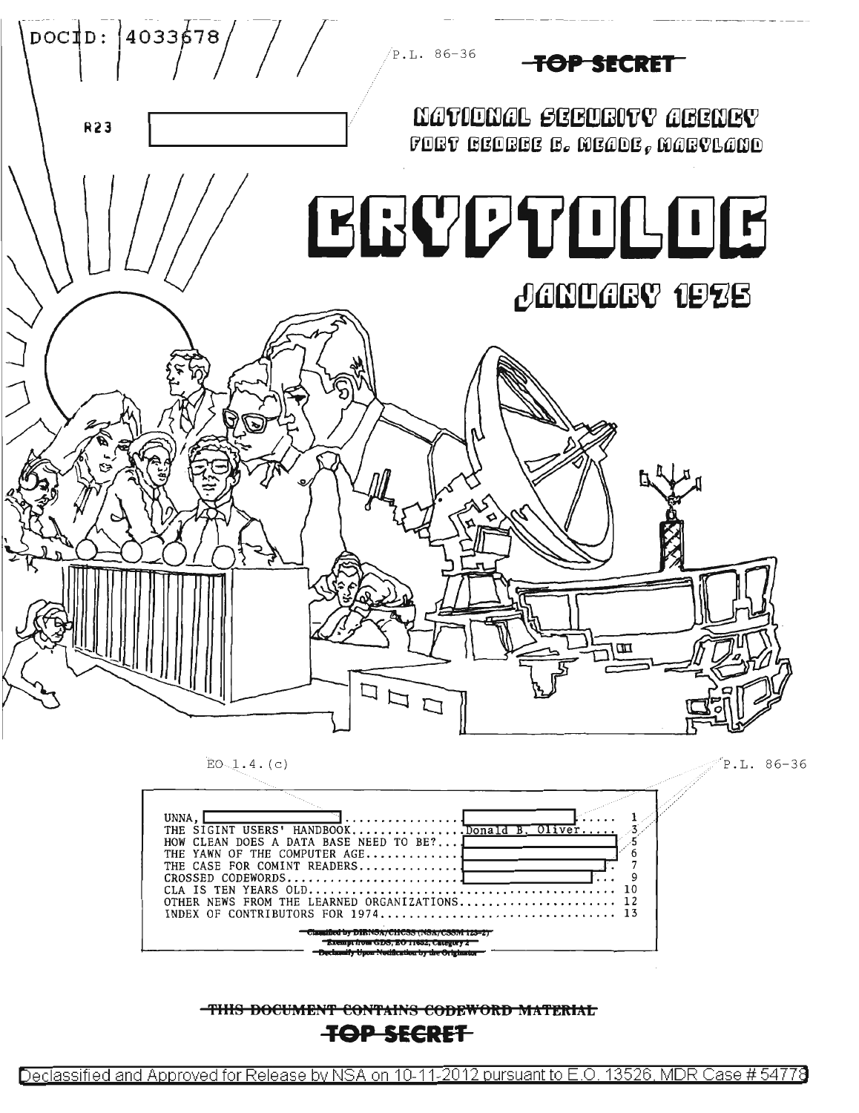

THIS DOCUMENT CONTAINS CODEWORD MATERIAL

INDEX OF CONTRIBUTORS FOR 1974...

## <del>TOP SECRET</del>

Declassified and Approved for Release by NSA on 10-11-2012 pursuant to E.O. 13526, MDR Case # 54778

13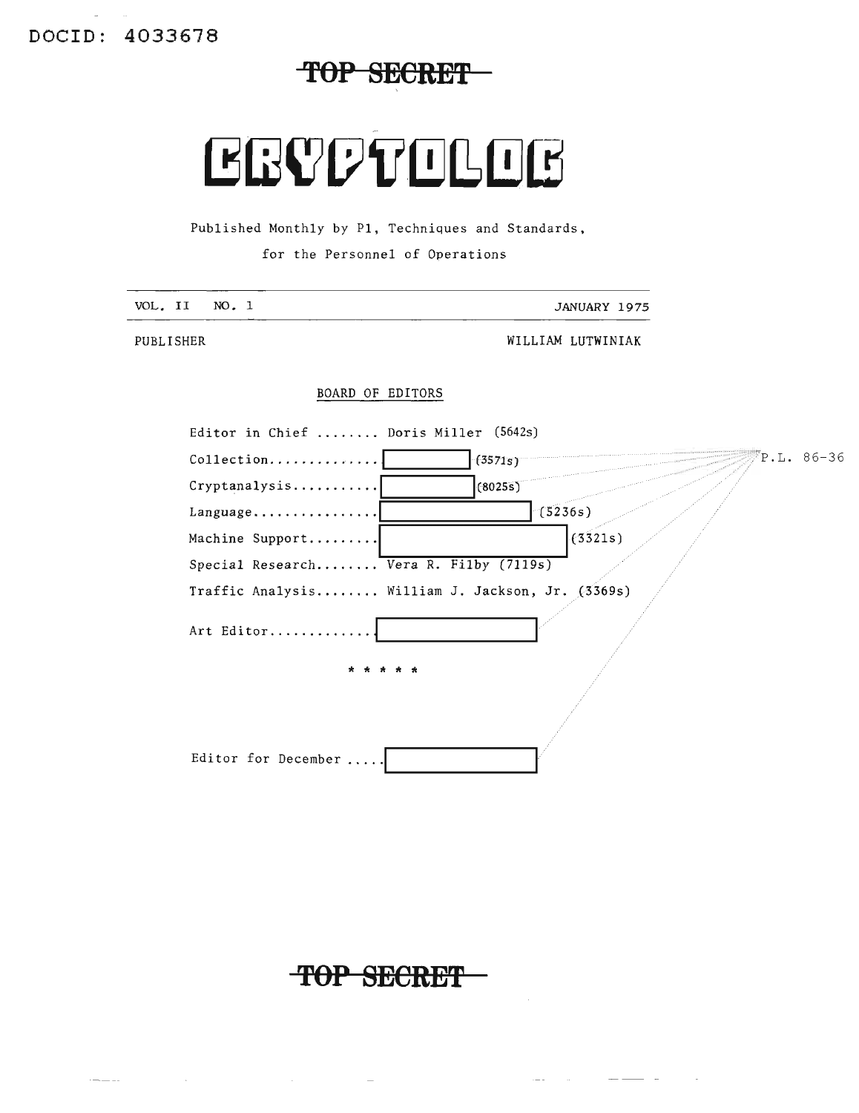TOP SECRET

# CEVPTOLOC

Published Monthly by P1, Techniques and Standards,

for the Personnel of Operations

| VOL. II | NO. | ᅩ | JANUARY 1975 |  |
|---------|-----|---|--------------|--|
|         |     |   |              |  |

PUBLISHER

 $-1$ 

 $\sim 10$ 

WILLIAM LUTWINIAK

 $\frac{1}{2} \left( \frac{1}{2} \frac{1}{2} \frac{1}{2} \frac{1}{2} \frac{1}{2} \frac{1}{2} \frac{1}{2} \frac{1}{2} \frac{1}{2} \frac{1}{2} \frac{1}{2} \frac{1}{2} \frac{1}{2} \frac{1}{2} \frac{1}{2} \frac{1}{2} \frac{1}{2} \frac{1}{2} \frac{1}{2} \frac{1}{2} \frac{1}{2} \frac{1}{2} \frac{1}{2} \frac{1}{2} \frac{1}{2} \frac{1}{2} \frac{1}{2} \frac{1}{2} \frac{1}{2} \frac{1}{2}$ 

 $\sim$ 

#### BOARD OF EDITORS

| Editor in Chief  Doris Miller (5642s)            |                         |  |
|--------------------------------------------------|-------------------------|--|
| Collection                                       | $P.L. 86-36$<br>(3571s) |  |
| Cryptanalysis                                    | (8025s)                 |  |
| Language                                         | (5236s)                 |  |
| Machine Support                                  | (3321s)                 |  |
| Special Research Vera R. Filby (7119s)           |                         |  |
| Traffic Analysis William J. Jackson, Jr. (3369s) |                         |  |
| Art Editor                                       |                         |  |
| * * * * *                                        |                         |  |
|                                                  |                         |  |
| Editor for December !                            |                         |  |

TOP SECRET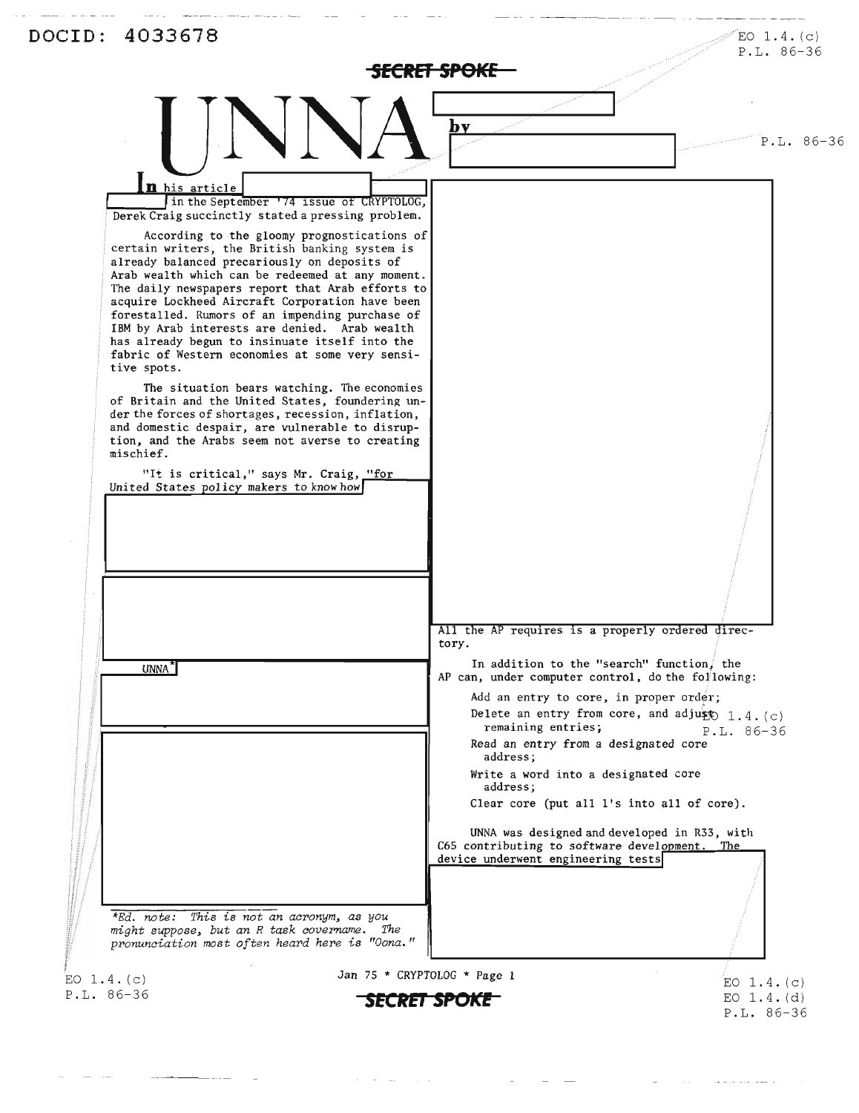|                                                                                                                                                                                                                                                                                                                                                                                                                                                                                                                                                                                                                                                                                                                                                                                                                                                                                                                                                                                                                                                                                                                                                                                        | MECHEDIA DI S                                       | P.L. 86-36                                                                                                                                                                                                                                                                                                                                                                                                                                                                                                                           |
|----------------------------------------------------------------------------------------------------------------------------------------------------------------------------------------------------------------------------------------------------------------------------------------------------------------------------------------------------------------------------------------------------------------------------------------------------------------------------------------------------------------------------------------------------------------------------------------------------------------------------------------------------------------------------------------------------------------------------------------------------------------------------------------------------------------------------------------------------------------------------------------------------------------------------------------------------------------------------------------------------------------------------------------------------------------------------------------------------------------------------------------------------------------------------------------|-----------------------------------------------------|--------------------------------------------------------------------------------------------------------------------------------------------------------------------------------------------------------------------------------------------------------------------------------------------------------------------------------------------------------------------------------------------------------------------------------------------------------------------------------------------------------------------------------------|
|                                                                                                                                                                                                                                                                                                                                                                                                                                                                                                                                                                                                                                                                                                                                                                                                                                                                                                                                                                                                                                                                                                                                                                                        | bv                                                  | P.L. 86-36                                                                                                                                                                                                                                                                                                                                                                                                                                                                                                                           |
| n his article<br>in the September '74 issue of CRYPTOLOG,<br>Derek Craig succinctly stated a pressing problem.<br>According to the gloomy prognostications of<br>certain writers, the British banking system is<br>already balanced precariously on deposits of<br>Arab wealth which can be redeemed at any moment.<br>The daily newspapers report that Arab efforts to<br>acquire Lockheed Aircraft Corporation have been<br>forestalled. Rumors of an impending purchase of<br>IBM by Arab interests are denied. Arab wealth<br>has already begun to insinuate itself into the<br>fabric of Western economies at some very sensi-<br>tive spots.<br>The situation bears watching. The economies<br>of Britain and the United States, foundering un-<br>der the forces of shortages, recession, inflation,<br>and domestic despair, are vulnerable to disrup-<br>tion, and the Arabs seem not averse to creating<br>mischief.<br>"It is critical," says Mr. Craig, "for<br>United States policy makers to know how<br>UNNA <sup>"</sup><br>*Ed. note: This is not an acronym, as you<br>might suppose, but an R task covername. The<br>pronunciation most often heard here is "Oona." | tory.<br>remaining entries;<br>address;<br>address; | All the AP requires is a properly ordered direc-<br>In addition to the "search" function, the<br>AP can, under computer control, do the following:<br>Add an entry to core, in proper order;<br>Delete an entry from core, and adjust $1.4. (c)$<br>$P.L. 86-36$<br>Read an entry from a designated core<br>Write a word into a designated core<br>Clear core (put all 1's into all of core).<br>UNNA was designed and developed in R33, with<br>C65 contributing to software development. The<br>device underwent engineering tests |
|                                                                                                                                                                                                                                                                                                                                                                                                                                                                                                                                                                                                                                                                                                                                                                                                                                                                                                                                                                                                                                                                                                                                                                                        | Jan 75 * CRYPTOLOG * Page 1                         |                                                                                                                                                                                                                                                                                                                                                                                                                                                                                                                                      |

 $\mathcal{F}^{\mathcal{G}}_{\mathcal{G}}$  and  $\mathcal{F}^{\mathcal{G}}_{\mathcal{G}}$  and  $\mathcal{F}^{\mathcal{G}}_{\mathcal{G}}$  and  $\mathcal{F}^{\mathcal{G}}_{\mathcal{G}}$  $\mathcal{L}_{\mathcal{A}}$  , and  $\mathcal{L}_{\mathcal{A}}$  , and  $\mathcal{L}_{\mathcal{A}}$  , and  $\mathcal{L}_{\mathcal{A}}$ 

 $\frac{1}{2} \left( \frac{1}{2} \right) \left( \frac{1}{2} \right) \left( \frac{1}{2} \right) \left( \frac{1}{2} \right) \left( \frac{1}{2} \right) \left( \frac{1}{2} \right) \left( \frac{1}{2} \right) \left( \frac{1}{2} \right) \left( \frac{1}{2} \right) \left( \frac{1}{2} \right) \left( \frac{1}{2} \right) \left( \frac{1}{2} \right) \left( \frac{1}{2} \right) \left( \frac{1}{2} \right) \left( \frac{1}{2} \right) \left( \frac{1}{2} \right) \left( \frac$ 

 $\mathcal{L}^{\mathcal{L}}$ 

 $\mathcal{L}^{\text{max}}_{\text{max}}$  and  $\mathcal{L}^{\text{max}}_{\text{max}}$  $\alpha$  is a second constant  $\alpha$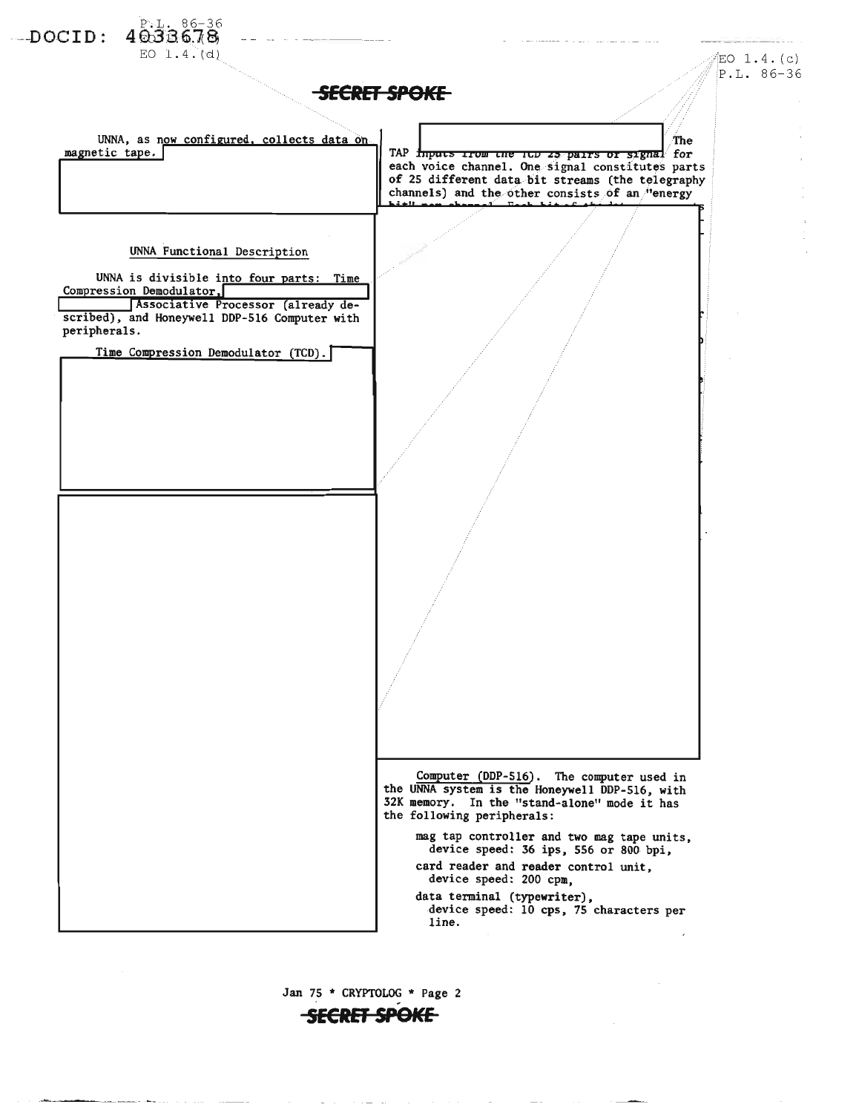

Jan 75 \* CRYPTOLOG \* Page 2

**SECRET SPOKE**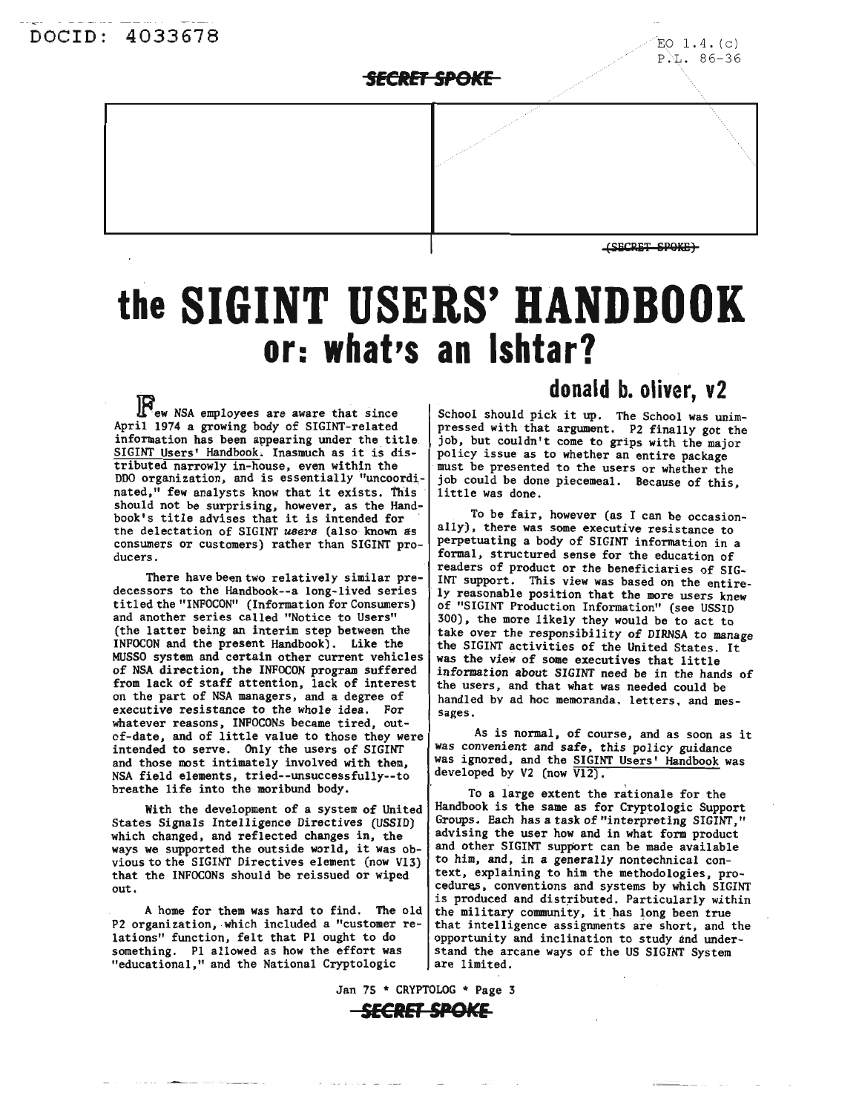### SECRET SPOKE

(SECRET SPOKE)

# **the SIGINT USERS' HANDBOOK or: what's an Ishtar?**

**R**ew NSA employees are aware that since April 1974 a growing body of SIGINT-re1ated information has been appearing under the title SIGINT Users' Handbook. Inasmuch as it is distributed narrowly in-house, even within the DDO organization, and is essentially "uncoordinated," few analysts know that it exists. This should not be surprising, however, as the Hand-book's title advises that it is intended for<br>the delectation of SIGINT *users* (also known as the delectation of SIGINT users (also known as consumers or customers) rather than SIGINT producers.

There have been two relatively similar predecessors to the Handbook--a long-lived series titled the "INFOCON" (Information for Consumers) and another series called "Notice to Users" (the latter being an interim step between the INFOCON and the present Handbook). Like the MUSSO system and certain other current vehicles of NSA direction, the INFOCON program suffered from lack of staff attention, iack of interest on the part of NSA managers, and a degree of executive resistance to the whole idea. For whatever reasons, INFOCONs became tired, outof-date, and of little value to those they were intended to serve. Only the users of SIGINT and those most intimately involved with them, NSA field elements, tried--unsuccessfully--to breathe life into the moribund body.

With the development of a system of United States Signals Intelligence Directives (USSID) which changed, and reflected changes in, the ways we supported the outside world, it was obvious to the SIGINT Directives element (now V13) that the INFOCONs should be reissued or wiped out.

A home for them was hard to find. The old P2 organization, which included a "customer relations" function, felt that PI ought to do something. PI allowed as how the effort was "educational," and the National Cryptologic

# **donald b. oliver, v2**

School should pick it up. The School was unimpressed with that argument. P2 finally got the job, but couldn't come to grips with the major policy issue as to whether an entire package must be presented to the users or whether the job could be done piecemeal. Because of this, little was done.

To be fair, however (as I can be occasionally), there was some executive resistance to perpetuating a body of SIGINT information in a formal, structured sense for the education of readers of product or the beneficiaries of SIG-INT support. This view was based on the entirely reasonable position that the more users knew of "SIGINT Production Information" (see USSID 300), the more likely they would be to act to take over the responsibility of DIRNSA to manage the SIGINT activities of the United States. It was the view of some executives that little information about *SIaINT* need be in the hands of the users, and that what was needed could be handled by ad hoc memoranda. letters. and messages.

As is normal, of course, and as soon as it was convenient and safe, this policy guidance was ignored, and the SIGINT Users' Handbook was developed by V2 (now  $\overline{V12}$ ).

To a large extent the rationale for the Handbook is the same as for Cryptologic Support Groups. Each has a task of "interpreting SIGINT," advising the user how and in what form product and other SIGINT support can be made available to him, and, in a generally nontechnical context, explaining to him the methodologies, procedures, conventions and systems by which SIGINT is produced and distributed. Particularly within the military community, it has long been true that intelligence assignments are short, and the opportunity and inclination to study and understand the arcane ways of the US SIGINT System are limited.

Jan 75 \* CRYPTOLOG \* Page 3 **SECRET SPOKE**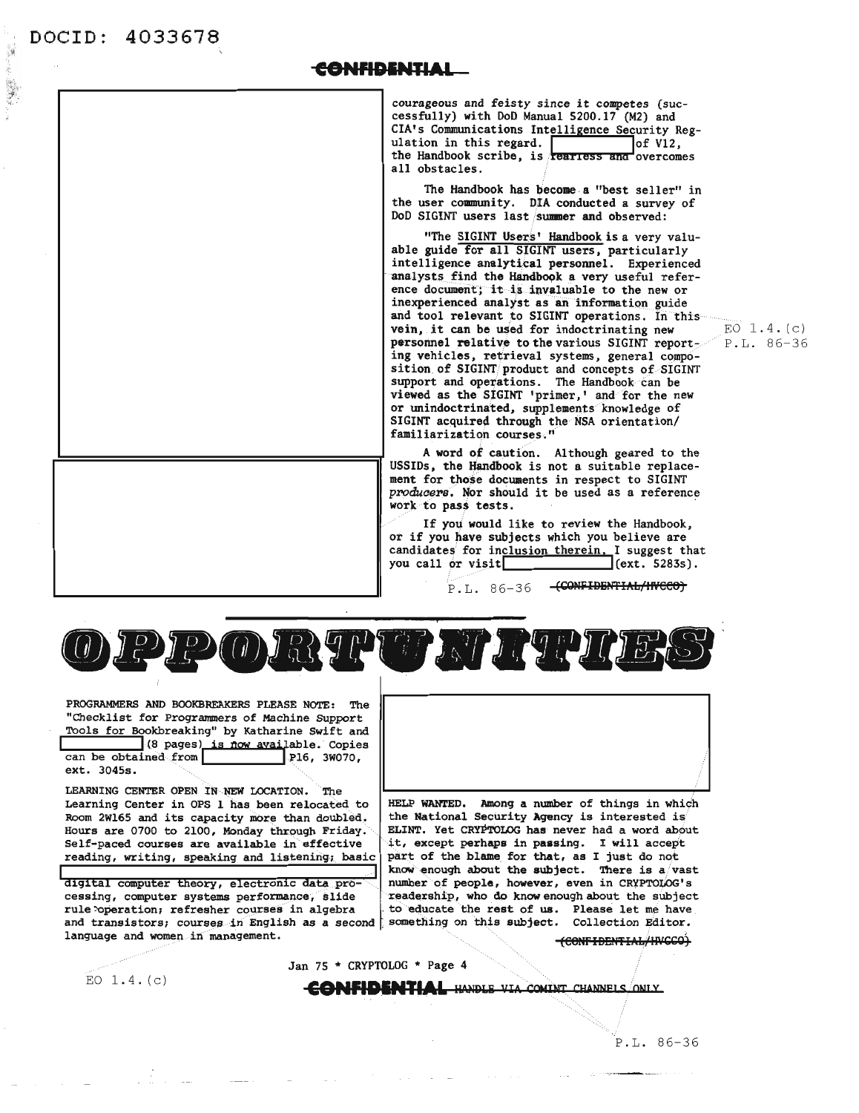### <del>CONFIDENTIAL</del>

courageous and feisty since it competes (successfully) with DoD Manual 5200.17 (M2) and CIA's Communications Intelligence Security Regulation in this regard. of V12,<br>the Handbook scribe, is rearriess and overcomes all obstacles.

The Handbook has become a "best seller" in the user community. DIA conducted a survey of DoD SIGINT users last summer and observed:

"The SIGINT Users' Handbook is a very valuable guide for all SIGINT users, particularly intelligence analytical personnel. Experienced analysts find the Handbook a very useful reference document; it is invaluable to the new or inexperienced analyst as an information guide and tool relevant to SIGINT operations. In this vein, it can be used for indoctrinating new personnel relative to the various SIGINT reporting vehicles, retrieval systems, general composition of SIGINT product and concepts of SIGINT support and operations. The Handbook can be viewed as the SIGINT 'primer,' and for the new or unindoctrinated, supplements knowledge of SIGINT acquired through the NSA orientation/ familiarization courses."

A word of caution. Although geared to the USSIDs, the Handbook is not a suitable replacement for those documents in respect to SIGINT producers. Nor should it be used as a reference work to pass tests.

If you would like to review the Handbook. or if you have subjects which you believe are candidates for inclusion therein. I suggest that you call or visit  $(cxt. 5283s).$ 

> $P.L. 86-36$ -(CONFIDENTIAL/INCCO)

PIP ODRYPTE NI TYPI

Jan 75 \* CRYPTOLOG \* Page 4

PROGRAMMERS AND BOOKBREAKERS PLEASE NOTE: The "Checklist for Programmers of Machine Support Tools for Bookbreaking" by Katharine Swift and (8 pages) is now available. Copies<br>can be obtained from P16, 3W070,

ext. 3045s.

LEARNING CENTER OPEN IN NEW LOCATION. The Learning Center in OPS 1 has been relocated to Room 2W165 and its capacity more than doubled. Hours are 0700 to 2100, Monday through Friday. Self-paced courses are available in effective reading, writing, speaking and listening; basic

digital computer theory, electronic data processing, computer systems performance, slide rule operation; refresher courses in algebra and transistors; courses in English as a second [ language and women in management.



HELP WANTED. Among a number of things in which the National Security Agency is interested is ELINT. Yet CRYPTOLOG has never had a word about it, except perhaps in passing. I will accept part of the blame for that, as I just do not know enough about the subject. There is a vast number of people, however, even in CRYPTOLOG's readership, who do know enough about the subject to educate the rest of us. Please let me have something on this subject. Collection Editor.

-CONFIDENTIAL/INCCO)

EO  $1.4.(c)$ 

**CONFIDENTIAL HANDLE VIA COMINT CHANNELS ONLY** 

EO  $1.4. (c)$ P.L. 86-36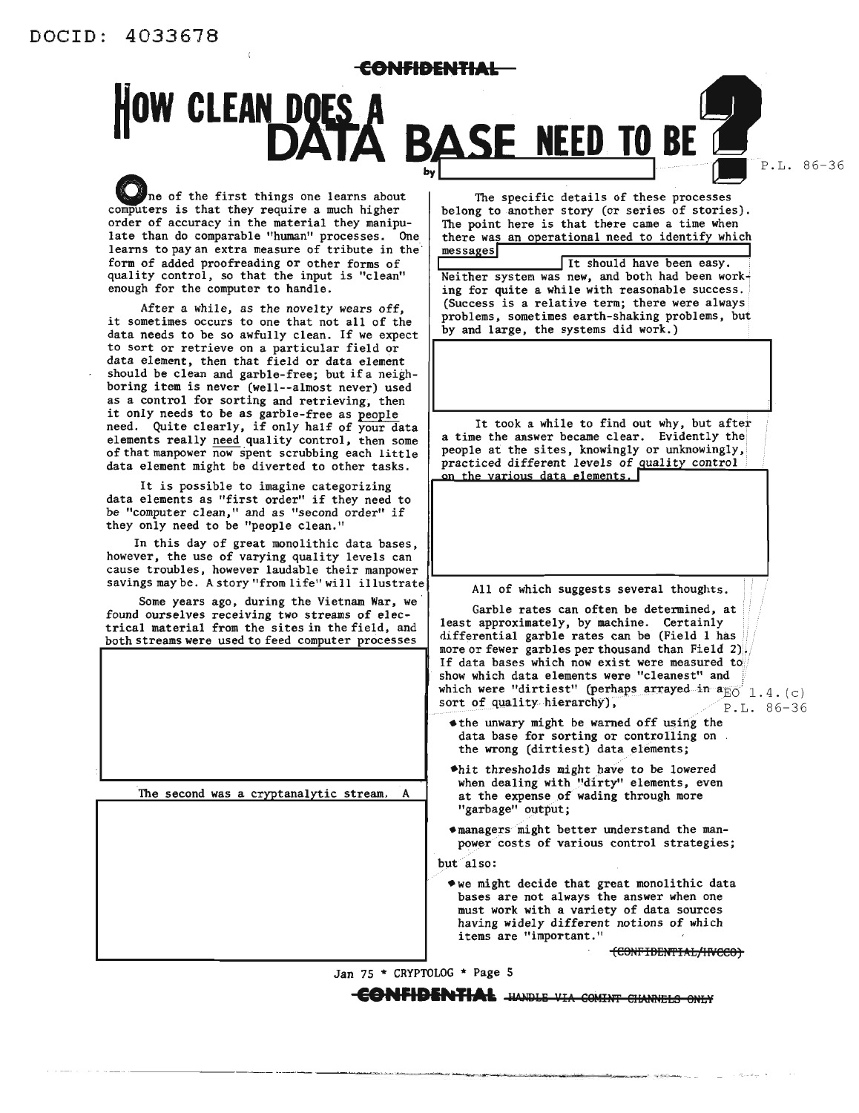**CONFIDENTIAL**

# **HOW CLEAN DOES A BASE NEED TO BE 1**

P.L. 86-36

ne of the first things one learns about computers is that they require a much higher order of accuracy in the material they manipulate than do comparable "human" processes. One learns to pay an extra measure of tribute in the' form of added proofreading or other forms of quality control, so that the input is "clean" enough for the computer to handle.

After a while, as the novelty wears off, it sometimes occurs to one that not all of the data needs to be so awfully clean. If we expect to sort or retrieve on <sup>a</sup> particular field or data element, then that field or data element should be clean and garble-free; but if a neighboring item is never (well--almost never) used as a control for sorting and retrieving, then it only needs to be as garble-free as people need. Quite clearly, if only half of your data elements really need quality control, then some of that manpower now spent scrubbing each little data element might be diverted to other tasks.

It is possible to imagine categorizing data elements as "first order" if they need to be "computer clean," and as "second order" if they only need to be "people clean."

In this day of great monolithic data bases, however, the use of varying quality levels can cause troubles, however laudable their manpower savings may be. Astory "from life" will illustrate

Some years ago, during the Vietnam War, we found ourselves receiving two streams of electrical material from the sites in the field, and both streams were used to feed computer processes

The second was a cryptanalytic stream.

The specific details of these processes belong to another story (or series of stories). The point here is that there came a time when there was an operational need to identify which  $messages$ 

**<sup>I</sup> <sup>I</sup>** It should have been easy. Neither system was new, and both had been work· ing for quite a while with reasonable success. (Success is a relative term; there were always problems, sometimes earth-shaking problems, but by and large, the systems did work.)

It took <sup>a</sup> while to find out why, but after <sup>a</sup> time the answer became clear. Evidently the people at the sites, knowingly or unknowingly, practiced different levels of quality control<br>on the various data elements.

All of which suggests several thoughts.

Garble rates can often be determined, at least approximately, by machine. Certainly differential garble rates can be (Field 1 has more or fewer garbles per thousand than Field 2). If data bases which now exist were measured to show which data elements were "cleanest" and which were "dirtiest" (perhaps arrayed in  $\mathbf{a}_{\overline{\text{BO}}}^i$  1.4. (c) sort of quality hierarchy),  $\overline{\text{P.L. 86-36}}$ 

- $\triangle$  the unwary might be warned off using the data base for sorting or controlling on the wrong (dirtiest) data elements;
- $*$ hit thresholds might have to be lowered when dealing with "dirty" elements, even at the expense of wading through more "garbage" output;
- managers might better understand the manpower costs of various control strategies;

but also:

 $*$ we might decide that great monolithic data bases are not always the answer when one must work with <sup>a</sup> variety of data sources having widely different notions of which items are "important."

(CONFIDENTIAL/INCCO)

Jan 75 \* CRYPTOLOG \* Page 5

**CONFIDENTIAL** HANDLE VIA COMINT CHANNELS ONLY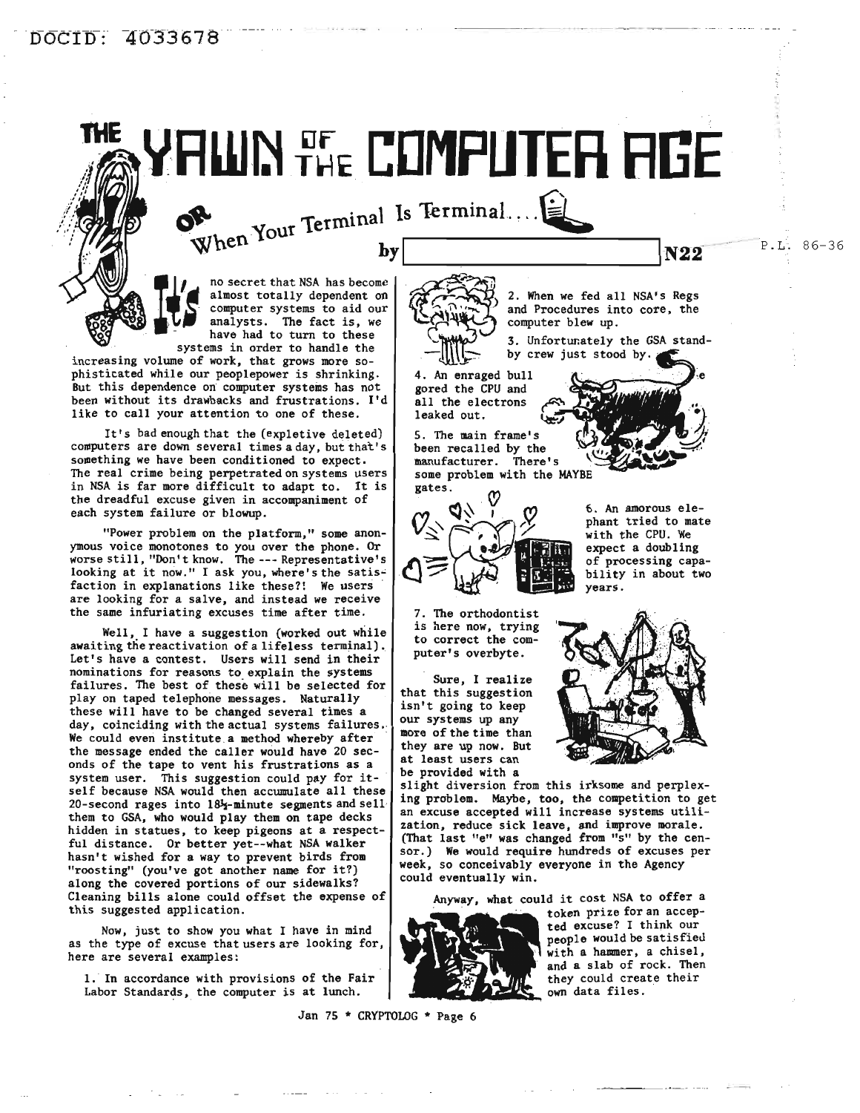# THE **CDMPUTER RGE**

 $\frac{1}{2}$   $\frac{1}{2}$   $\frac{1}{2}$   $\frac{1}{2}$   $\frac{1}{2}$   $\frac{1}{2}$   $\frac{1}{2}$   $\frac{1}{2}$   $\frac{1}{2}$   $\frac{1}{2}$   $\frac{1}{2}$   $\frac{1}{2}$   $\frac{1}{2}$   $\frac{1}{2}$   $\frac{1}{2}$   $\frac{1}{2}$   $\frac{1}{2}$   $\frac{1}{2}$   $\frac{1}{2}$   $\frac{1}{2}$   $\frac{1}{2}$   $\frac{1}{2}$   $\$ 

where the computer systems to aid our computer systems to aid our analysts. The fact is, we have had to turn to these no secret that NSA has become have had to turn to these<br>systems in order to handle the

increasing volume of work, that grows more sophisticated while our peoplepower is shrinking. But this dependence on computer systems has not been without its drawbacks and frustrations. I'd like to call your attention to one of these.

5

It's bad enough that the (expletive deleted) computers are down several times a day, but that's something we have been conditioned to expect. The real crime being perpetrated on systems users in NSA is far more difficult to adapt to. It is the dreadful excuse given in accompaniment of each system failure or blowup.

"Power problem on the platform," some anonymous voice monotones to you over the phone. Or worse still, "Don't know. The --- Representative's looking at it now." I ask you, where's the satisfaction in explanations like these?! We users are looking for a salve, and instead we receive the same infuriating excuses time after time.

Well, I have a suggestion (worked out while awaiting the reactivation of a lifeless terminal). Let's have a contest. Users will send in their nominations for reasons to explain the systems failures. The best of these will be selected for play on taped telephone messages. Naturally these will have to be changed several times a day, coinciding with the actual systems failures. We could even institute a method whereby after the message ended the caller would have 20 seconds of the tape to vent his frustrations as a system user. This suggestion could pay for itself because NSA would then accumulate all these 20-second rages into  $18\frac{1}{2}$ -minute segments and sellthem to GSA, who would play them on tape decks hidden in statues, to keep pigeons at a respectful distance. Or better yet--what NSA walker hasn't wished for a way to prevent birds from "roosting" (you've got another name for it?) along the covered portions of our sidewalks? Cleaning bills alone could offset the expense of this suggested application.

Now, just to show you what I have in mind as the type of excuse that users are looking for, here are several examples:

1. In accordance with provisions of the Fair Labor Standards, the computer is at lunch.

Jan 7S \* CRYPTOLOG \* Page 6

2. When we fed all NSA's Regs and Procedures into core, the computer blew up. ~~~;:-:\ .<br>33

> 3. Unfortunately the GSA standby crew just stood by.

4. An enraged bull gored the CPU and all the electrons leaked out.

5. The main frame's been recalled by the manufacturer. There's some problem with the MAYBE  ${\tt gates}$ .



7. The orthodontist is here now, trying to correct the computer's overbyte.

Sure, I realize that this suggestion isn't going to keep our systems up any more of the time than they are up now. But at least users can be provided with a



years.

6. An amorous elephant tried to mate with the CPU. We expect a doubling of processing capability in about two

slight diversion from this irksome and perplexing problem. Maybe, too, the competition to get an excuse accepted will increase systems utilization, reduce sick leave, and improve morale. (That last "e" was changed from "5" by the censor.) We would require hundreds of excuses per week, so conceivably everyone in the Agency could eventually win.

Anyway, what could it cost NSA to offer <sup>a</sup>



token prize for an accepted excuse? I think our people would be satisfieu with a hammer, a chisel, and a slab of rock. Then they could create their own data files.

-----\_.-\_..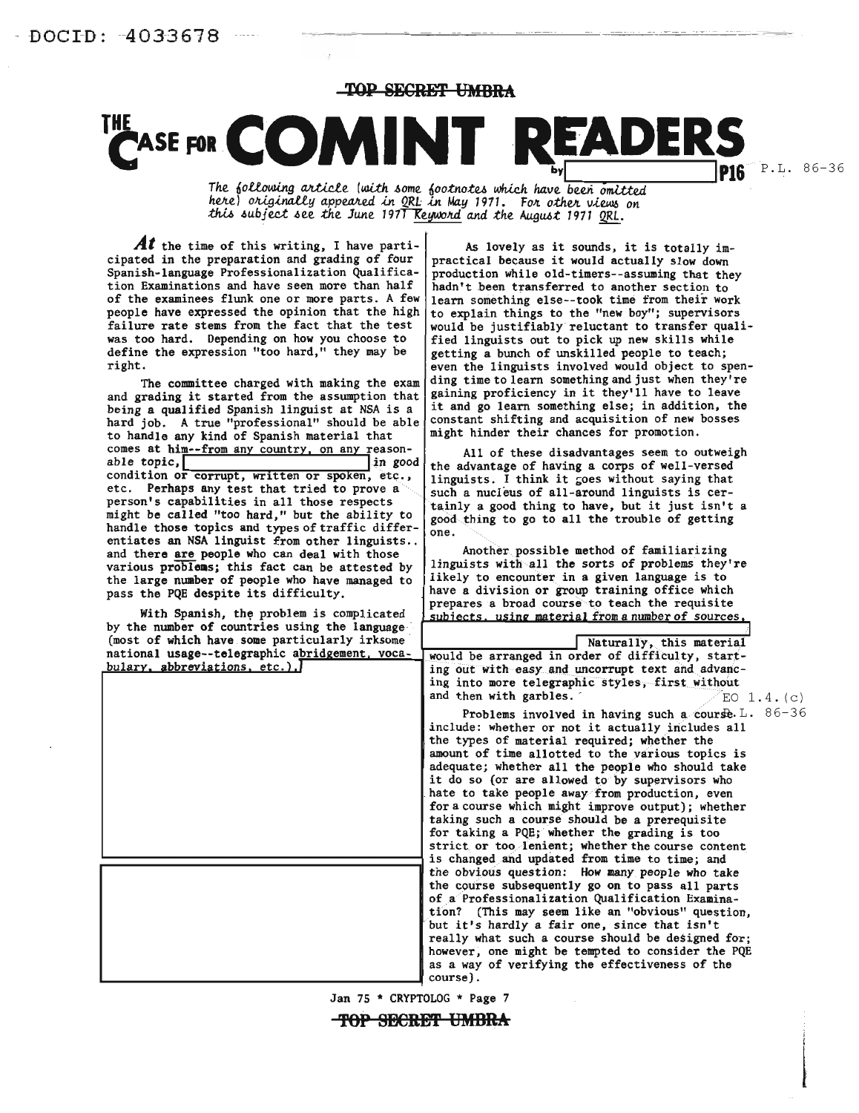TOP SECRET **UMBRA** 

# **TASE FOR COMINT READERS**

The following article (with some footnotes which have been omitted here) originally appeared in QRL in May 1971. For other views on this subject see the June 197<del>1 R</del>eyword and the August 1971 QRL.

**Al** the time of this writing, I have participated in the preparation and grading of four Spanish-language Professionalization Qualification Examinations and have seen more than half of the examinees flunk one or more parts. A few people have expressed the opinion that the high failure rate stems from the fact that the test was too hard. Depending on how you choose to define the expression "too hard," they may be right.

The committee charged with making the exam and grading it started from the assumption that being a qualified Spanish linguist at NSA *is* a hard job. A true "professional" should be able to handle any kind of Spanish material that comes at him--from any country, on any reason-<br>able topic,<br>in good able topic, in good condition or corrupt, written or spoken, etc., etc. Perhaps any test that tried to prove a person's capabilities in all those respects might be called "too hard," but the ability to handle those topics and types of traffic differentiates an NSA linguist from other linguists.. and there are people who can deal with those various problems; this fact can be attested by the large number of people who have managed to pass the PQE despite its difficulty.

With Spanish, the problem is complicated by the number of countries using the language' (most of which have some particularly irksome

As lovely as it sounds, it is totally impractical because it would actually slow down production while old-timers--assuming that they hadn't been transferred to another section to learn something else--took time from their work to explain things to the "new boy"; supervisors would be justifiably reluctant to transfer qualified linguists out to pick up new skills while getting a bunch of unskilled people to teach; even the linguists involved would object to spending time to learn something and just when they're gaining proficiency in it they'll have to leave it and go learn something else; in addition, the constant shifting and acquisition of new bosses might hinder their chances for promotion.

All of these disadvantages seem to outweigh the advantage of having a corps of well-versed linguists. I think it goes without saying that such a nucleus of all-around linguists is certainly a good thing to have, but it just isn't a good thing to go to all the trouble of getting one.

Another possible method of familiarizing linguists with all the sorts of problems they're likely to encounter in a given language is to have a division or group training office which prepares a broad course to teach the requisite subiects. using material from a number of sources,

| (most of which have some particularly irksome<br>Naturally, this material<br>national usage--telegraphic abridgement, voca-<br>would be arranged in order of difficulty, start-<br>$bulary$ , abbreviations, etc.).<br>ing out with easy and uncorrupt text and advanc-<br>ing into more telegraphic styles, first without<br>and then with garbles.<br>EO $1.4.$ (c)<br>Problems involved in having such a course. $L. 86-36$<br>include: whether or not it actually includes all<br>the types of material required; whether the<br>amount of time allotted to the various topics is<br>adequate; whether all the people who should take<br>it do so (or are allowed to by supervisors who<br>hate to take people away from production, even<br>for a course which might improve output); whether<br>taking such a course should be a prerequisite<br>for taking a PQE; whether the grading is too<br>strict or too lenient; whether the course content<br>is changed and updated from time to time; and<br>the obvious question: How many people who take<br>the course subsequently go on to pass all parts<br>of a Professionalization Qualification Examina-<br>tion? (This may seem like an "obvious" question,<br>but it's hardly a fair one, since that isn't<br>really what such a course should be designed for;<br>however, one might be tempted to consider the PQE<br>as a way of verifying the effectiveness of the<br>course). | by the number of countries using the language |  |
|-----------------------------------------------------------------------------------------------------------------------------------------------------------------------------------------------------------------------------------------------------------------------------------------------------------------------------------------------------------------------------------------------------------------------------------------------------------------------------------------------------------------------------------------------------------------------------------------------------------------------------------------------------------------------------------------------------------------------------------------------------------------------------------------------------------------------------------------------------------------------------------------------------------------------------------------------------------------------------------------------------------------------------------------------------------------------------------------------------------------------------------------------------------------------------------------------------------------------------------------------------------------------------------------------------------------------------------------------------------------------------------------------------------------------------------------------|-----------------------------------------------|--|
|                                                                                                                                                                                                                                                                                                                                                                                                                                                                                                                                                                                                                                                                                                                                                                                                                                                                                                                                                                                                                                                                                                                                                                                                                                                                                                                                                                                                                                               |                                               |  |
|                                                                                                                                                                                                                                                                                                                                                                                                                                                                                                                                                                                                                                                                                                                                                                                                                                                                                                                                                                                                                                                                                                                                                                                                                                                                                                                                                                                                                                               |                                               |  |
|                                                                                                                                                                                                                                                                                                                                                                                                                                                                                                                                                                                                                                                                                                                                                                                                                                                                                                                                                                                                                                                                                                                                                                                                                                                                                                                                                                                                                                               |                                               |  |
|                                                                                                                                                                                                                                                                                                                                                                                                                                                                                                                                                                                                                                                                                                                                                                                                                                                                                                                                                                                                                                                                                                                                                                                                                                                                                                                                                                                                                                               |                                               |  |
|                                                                                                                                                                                                                                                                                                                                                                                                                                                                                                                                                                                                                                                                                                                                                                                                                                                                                                                                                                                                                                                                                                                                                                                                                                                                                                                                                                                                                                               |                                               |  |
|                                                                                                                                                                                                                                                                                                                                                                                                                                                                                                                                                                                                                                                                                                                                                                                                                                                                                                                                                                                                                                                                                                                                                                                                                                                                                                                                                                                                                                               |                                               |  |
|                                                                                                                                                                                                                                                                                                                                                                                                                                                                                                                                                                                                                                                                                                                                                                                                                                                                                                                                                                                                                                                                                                                                                                                                                                                                                                                                                                                                                                               |                                               |  |
|                                                                                                                                                                                                                                                                                                                                                                                                                                                                                                                                                                                                                                                                                                                                                                                                                                                                                                                                                                                                                                                                                                                                                                                                                                                                                                                                                                                                                                               |                                               |  |
|                                                                                                                                                                                                                                                                                                                                                                                                                                                                                                                                                                                                                                                                                                                                                                                                                                                                                                                                                                                                                                                                                                                                                                                                                                                                                                                                                                                                                                               |                                               |  |
|                                                                                                                                                                                                                                                                                                                                                                                                                                                                                                                                                                                                                                                                                                                                                                                                                                                                                                                                                                                                                                                                                                                                                                                                                                                                                                                                                                                                                                               |                                               |  |
|                                                                                                                                                                                                                                                                                                                                                                                                                                                                                                                                                                                                                                                                                                                                                                                                                                                                                                                                                                                                                                                                                                                                                                                                                                                                                                                                                                                                                                               |                                               |  |
|                                                                                                                                                                                                                                                                                                                                                                                                                                                                                                                                                                                                                                                                                                                                                                                                                                                                                                                                                                                                                                                                                                                                                                                                                                                                                                                                                                                                                                               |                                               |  |
|                                                                                                                                                                                                                                                                                                                                                                                                                                                                                                                                                                                                                                                                                                                                                                                                                                                                                                                                                                                                                                                                                                                                                                                                                                                                                                                                                                                                                                               |                                               |  |
|                                                                                                                                                                                                                                                                                                                                                                                                                                                                                                                                                                                                                                                                                                                                                                                                                                                                                                                                                                                                                                                                                                                                                                                                                                                                                                                                                                                                                                               |                                               |  |
|                                                                                                                                                                                                                                                                                                                                                                                                                                                                                                                                                                                                                                                                                                                                                                                                                                                                                                                                                                                                                                                                                                                                                                                                                                                                                                                                                                                                                                               |                                               |  |
|                                                                                                                                                                                                                                                                                                                                                                                                                                                                                                                                                                                                                                                                                                                                                                                                                                                                                                                                                                                                                                                                                                                                                                                                                                                                                                                                                                                                                                               |                                               |  |
|                                                                                                                                                                                                                                                                                                                                                                                                                                                                                                                                                                                                                                                                                                                                                                                                                                                                                                                                                                                                                                                                                                                                                                                                                                                                                                                                                                                                                                               |                                               |  |
|                                                                                                                                                                                                                                                                                                                                                                                                                                                                                                                                                                                                                                                                                                                                                                                                                                                                                                                                                                                                                                                                                                                                                                                                                                                                                                                                                                                                                                               |                                               |  |
|                                                                                                                                                                                                                                                                                                                                                                                                                                                                                                                                                                                                                                                                                                                                                                                                                                                                                                                                                                                                                                                                                                                                                                                                                                                                                                                                                                                                                                               |                                               |  |
|                                                                                                                                                                                                                                                                                                                                                                                                                                                                                                                                                                                                                                                                                                                                                                                                                                                                                                                                                                                                                                                                                                                                                                                                                                                                                                                                                                                                                                               |                                               |  |
|                                                                                                                                                                                                                                                                                                                                                                                                                                                                                                                                                                                                                                                                                                                                                                                                                                                                                                                                                                                                                                                                                                                                                                                                                                                                                                                                                                                                                                               |                                               |  |
|                                                                                                                                                                                                                                                                                                                                                                                                                                                                                                                                                                                                                                                                                                                                                                                                                                                                                                                                                                                                                                                                                                                                                                                                                                                                                                                                                                                                                                               |                                               |  |
|                                                                                                                                                                                                                                                                                                                                                                                                                                                                                                                                                                                                                                                                                                                                                                                                                                                                                                                                                                                                                                                                                                                                                                                                                                                                                                                                                                                                                                               |                                               |  |
|                                                                                                                                                                                                                                                                                                                                                                                                                                                                                                                                                                                                                                                                                                                                                                                                                                                                                                                                                                                                                                                                                                                                                                                                                                                                                                                                                                                                                                               |                                               |  |
|                                                                                                                                                                                                                                                                                                                                                                                                                                                                                                                                                                                                                                                                                                                                                                                                                                                                                                                                                                                                                                                                                                                                                                                                                                                                                                                                                                                                                                               |                                               |  |
|                                                                                                                                                                                                                                                                                                                                                                                                                                                                                                                                                                                                                                                                                                                                                                                                                                                                                                                                                                                                                                                                                                                                                                                                                                                                                                                                                                                                                                               |                                               |  |
|                                                                                                                                                                                                                                                                                                                                                                                                                                                                                                                                                                                                                                                                                                                                                                                                                                                                                                                                                                                                                                                                                                                                                                                                                                                                                                                                                                                                                                               |                                               |  |

Jan 75 \* CRYPTOLOG \* Page 7

**TOP SECRET UMBRA**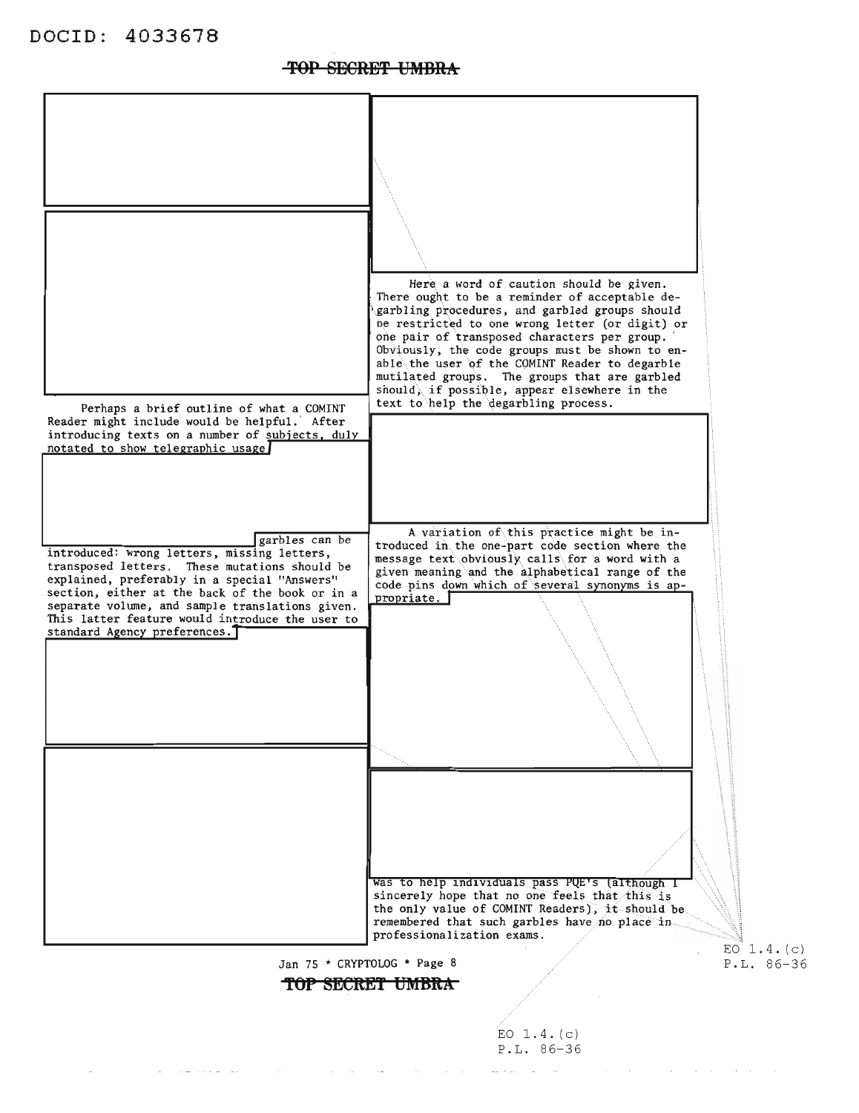

#### TOP SECRET UMBRA

EO  $1.4. (c)$  $P.L. 86-36$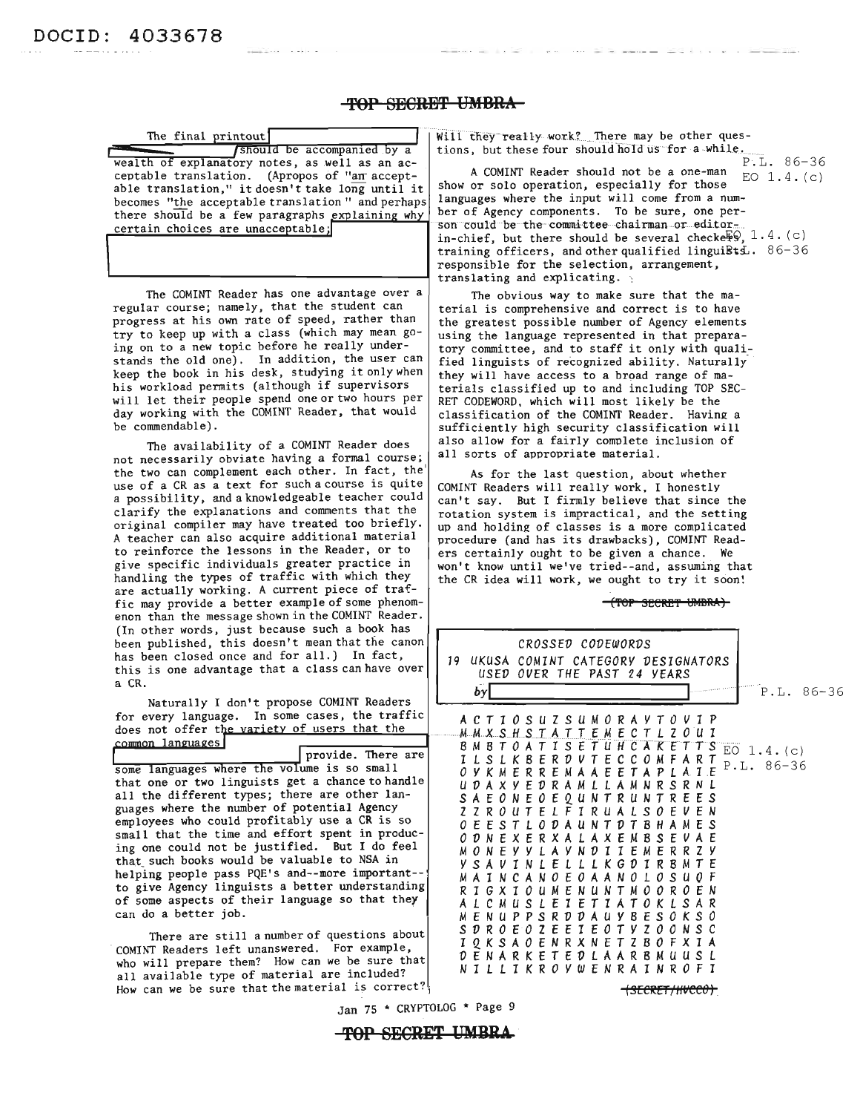#### **TOP BESRE'!' UMBRA**

able translation," it doesn't take long until it becomes "the acceptable translation" and perhaps there should be a few paragraphs explaining why ber of Agency components. To be sure, one per-<br>certain choices are unaccentable: son could be the committee chairman or editor-

The COMINT Reader has one advantage over a regular course; namely, that the student can progress at his own rate of speed, rather than try to keep up with a class (which may mean going on to a new topic before he really understands the old one). In addition, the user can keep the book in his desk, studying it only when his workload permits (although if supervisors will let their people spend one or two hours per day working with the COMINT Reader, that would be commendable).

The availability of a COMINT Reader does not necessarily obviate having a formal course; the two can complement each other. In fact, the use of a CR as a text for such a course is quite a possibility, and a knowledgeable teacher could clarify the explanations and comments that the original compiler may have treated too briefly. A teacher can also acquire additional material to reinforce the lessons in the Reader, or to give specific individuals greater practice in handling the types of traffic with which they are actually working. A current piece of traffic may provide a better example of some phenomenon than the message shown in the COMINT Reader. (In other words, just because such a book has been published, this doesn't mean that the canon has been closed once and for all.) In fact, this is one advantage that a class can have over a CR.

The final printout **of the substantial Community** work? There may be other ques-<br> **Thereform** itions, but these four should hold us for a while. tions, but these four should hold us for a while. wealth of explanatory notes, as well as an ac-<br>centable translation (Apropos of "an accent- A COMINT Reader should not be a one-man  $\overline{p}$  1 4 (c) ceptable translation. (Apropos of "an accept-  $\vert$  A COMINT Reader should not be a one-man  $\vert$  EO 1.4. (c) able translation " it doesn't take long until it show or solo operation, especially for those languages where the input will come from a numcertain choices are unacceptable;<br>in-chief, but there should be several checkerg. 1.4. (c) training officers, and other qualified linguists.  $86-36$ responsible for the selection, arrangement, translating and explicating.

> The obvious way to make sure that the material is comprehensive and correct is to have the greatest possible nwnber of Agency elements using the language represented in that prepara tory committee, and to staff it only with qualified linguists of recognized ability. Naturally they will have access to a broad range of materials classified up to and including TOP SEC RET CODEWORD, which will most likely be the classification of the COMINT Reader. Having a sufficiently high security classification will also allow for a fairly complete inclusion of all sorts of appropriate material.

> As for the last Question, about whether COMINT Readers will really work, I honestly can't say. But I firmly believe that since the rotation system is impractical, and the setting up and holding of classes is a more complicated procedure (and has its drawbacks), COMINT Read ers certainly ought to be given a chance. We won't know until we've tried--and, asswning that the CR idea will work, we ought to try it soon!

> > (TOP SECRET UMBRA)

| (In other words, just because such a book has<br>been published, this doesn't mean that the canon<br>has been closed once and for all.) In fact,<br>this is one advantage that a class can have over<br>a CR.<br>Naturally I don't propose COMINT Readers<br>for every language. In some cases, the traffic<br>does not offer the variety of users that the<br>common languages<br>provide. There are<br>some languages where the volume is so small<br>that one or two linguists get a chance to handle<br>all the different types; there are other lan-<br>guages where the number of potential Agency<br>employees who could profitably use a CR is so<br>small that the time and effort spent in produc-<br>ing one could not be justified. But I do feel<br>that such books would be valuable to NSA in<br>helping people pass PQE's and--more important--<br>to give Agency linguists a better understanding<br>of some aspects of their language so that they<br>can do a better job.<br>There are still a number of questions about<br>COMINT Readers left unanswered. For example, | <i>CROSSED CODEWORDS</i><br>19 UKUSA COMINT CATEGORY DESIGNATORS<br>USED OVER THE PAST 24 YEARS<br>$P.L. 86-36$<br> by <br>A C T I O S U Z S U M O R A Y T O V I P<br>B M B T O A T I S E T U H C A K E T T S EO 1.4. (c)<br>I L S L K B E R D V T E C C O M F A R T<br>$P.L. 86-36$<br>O Y K M E R R E M A A E E T A P L A I E<br>U D A X Y E D R A M L L A M N R S R N L<br>S A E O N E O E Q U N T R U N T R E E S<br>Z Z R O U T E L F I R U A L S O E V E N<br><i>O E E S T L O D A U N T D T B H A M E S</i><br><i>O D</i> N E X E R X A L A X E M B S E V A E<br>M O N E Y Y L A Y N D I I E M E R R Z Y<br>Y S A V I N L E L L L K G D I R B M T E<br>M A I N C A N O E O A A N O L O S U O F<br>R T G X T O U M E N U N T M O O R O E N<br>A L C M U S L E T E T T A T O K L S A R<br>M E N U P P S R D D A U Y B E S O K S O<br>S D R O E O Z E E I E O T Y Z O O N S C<br>1 Q K S A O E N R X N E T Z B O F X 1 A<br>D E N A R K E T E D L A A R B M U U S L |
|---------------------------------------------------------------------------------------------------------------------------------------------------------------------------------------------------------------------------------------------------------------------------------------------------------------------------------------------------------------------------------------------------------------------------------------------------------------------------------------------------------------------------------------------------------------------------------------------------------------------------------------------------------------------------------------------------------------------------------------------------------------------------------------------------------------------------------------------------------------------------------------------------------------------------------------------------------------------------------------------------------------------------------------------------------------------------------------------|-------------------------------------------------------------------------------------------------------------------------------------------------------------------------------------------------------------------------------------------------------------------------------------------------------------------------------------------------------------------------------------------------------------------------------------------------------------------------------------------------------------------------------------------------------------------------------------------------------------------------------------------------------------------------------------------------------------------------------------------------------------------------------------------------------------------------------------------------------------------------------------------------------------------------------------------------------------------------|
| who will prepare them? How can we be sure that<br>all available type of material are included?<br>How can we be sure that the material is correct?                                                                                                                                                                                                                                                                                                                                                                                                                                                                                                                                                                                                                                                                                                                                                                                                                                                                                                                                          | N I L L I K R O Y W E N R A I N R O F I<br><del>(secret/hvcc0)</del>                                                                                                                                                                                                                                                                                                                                                                                                                                                                                                                                                                                                                                                                                                                                                                                                                                                                                                    |
|                                                                                                                                                                                                                                                                                                                                                                                                                                                                                                                                                                                                                                                                                                                                                                                                                                                                                                                                                                                                                                                                                             |                                                                                                                                                                                                                                                                                                                                                                                                                                                                                                                                                                                                                                                                                                                                                                                                                                                                                                                                                                         |

Jan 75 \* CRYPTOLOG \* Page 9

**-TOP SECRET UMBRA**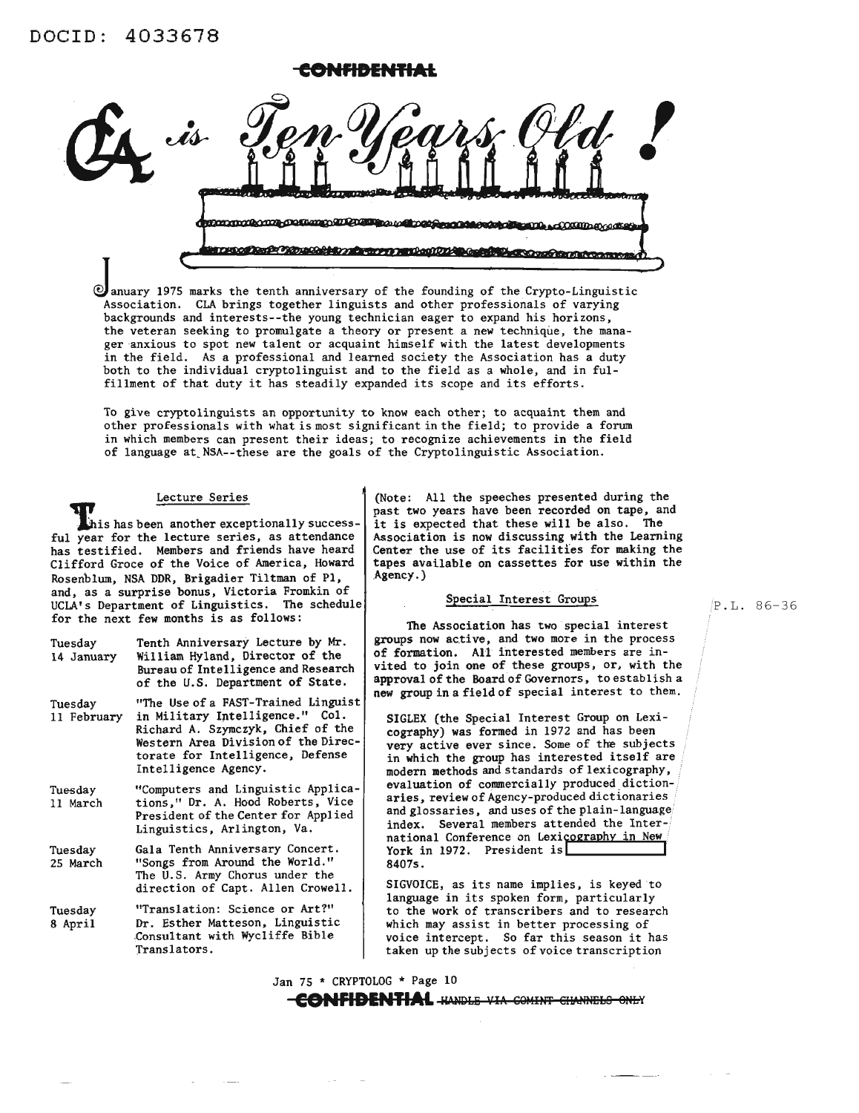

 $<sup>2</sup>$  anuary 1975 marks the tenth anniversary of the founding of the Crypto-Linguistic</sup> Association. CLA brings together linguists and other professionals of varying backgrounds and interests--the young technician eager to expand his horizons, the veteran seeking to promulgate a theory or present a new technique, the manager anxious to spot new talent or acquaint himself with the latest developments in the field. As a professional and learned society the Association has a duty both to the individual cryptolinguist and to the field as a whole, and in fulfillment of that duty it has steadily expanded its scope and its efforts.

To give cryptolinguists an opportunity to know each other; to acquaint them and other professionals with what is most significant in the field; to provide a forum in which members can present their ideas; to recognize achievements in the field of language at.NSA--these are the goals of the Cryptolinguistic Association.

#### Lecture Series

This has been another exceptionally success-<br>ful year for the lecture series, as attendance has testified. Members and friends have heard Clifford Groce of the Voice of America, Howard Rosenblum, NSA DDR, Brigadier Tiltman of PI, and, as a surprise bonus, Victoria Fromkin of UCLA's Department of Linguistics. The schedule for the next few months is as follows:

| Tuesday    | Tenth Anniversary Lecture by Mr.    |
|------------|-------------------------------------|
| 14 January | William Hyland, Director of the     |
|            | Bureau of Intelligence and Research |
|            | of the U.S. Department of State.    |

Tuesday 11 February "The Use of a FAST-Trained Linguist in Military Intelligence." Col. Richard A. Szymczyk, Chief of the Western Area Division of the Directorate for Intelligence, Defense Intelligence Agency.

- Tuesday 11 March "Computers and Linguistic Applications," Dr. A. Hood Roberts, Vice President of the Center for Applied Linguistics, Arlington, Va.
- Tuesday 25 March Gala Tenth Anniversary Concert. "Songs from Around the World." The U.S. Army Chorus under the direction of Capt. Allen Crowell.
- Tuesday 8 April "Translation: Science or Art?" Dr. Esther Matteson, Linguistic ,Consultant with Wycliffe Bible Translators.

(Note: All the speeches presented during the past two years have been recorded on tape, and it is expected that these will be also. The Association is now discussing with the Learning Center the use of its facilities for making the tapes available on cassettes for use within the Agency.)

#### Special Interest Groups

The Association has two special interest groups now active, and two more in the process of formation. All interested members are invited to join one of these groups, or, with the approval of the Board of Governors, to establish a new group in a field of special interest to them.

SIGLEX (the Special Interest Group on Lexicography) was formed in 1972 and has been very active ever since. Some of the subjects<br>in which the group has interested itself are modern methods and standards of lexicography, evaluation of commercially produced dictionaries, review of Agency-produced dictionaries and glossaries, and uses of the plain-language index. Several members attended the International Conference on Lexicography in New York in 1972. President is 8407s.

SIGVOICE, as its name implies, is keyed to language in its spoken form, particularly to the work of transcribers and to research which may assist in better processing of voice intercept. So far this season it has taken up the subjects of voice transcription

Jan 75 \* CRYPTOLOG \* Page 10 **CONFIDENTIAL** HANDLE VIA COMINT CHANNELS ONLY P.L. 86-36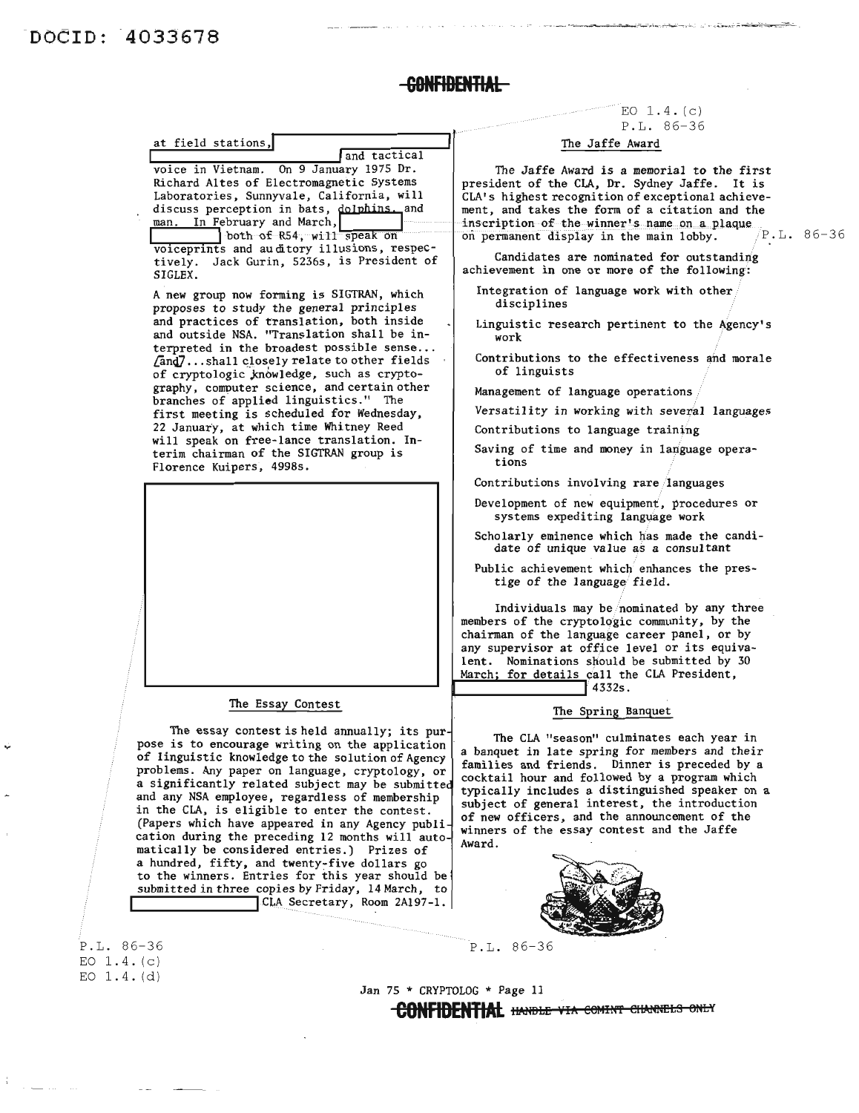P.L. 86-36  $EO$   $1.4. (c)$ EO 1.4. (d)

## -<del>Confidential</del>

# at field stations,<br>and tactical

voice in Vietnam. On 9 January 1975 Dr. Richard Altes of Electromagnetic Systems Laboratories, Sunnyvale, California, will us-cuss perception in pats, <u>Norbhins.</u> and

I both of R54, will speak on voiceprints and au ditory illusions, respecvoiceprints and auditory illusions, respec-<br>tively. Jack Gurin, 5236s, is President of SIGLEX.

A new group now forming is SIGTRAN, which proposes to study the general principles and practices of translation, both inside and outside NSA. "Translation shall be interpreted in the broadest possible sense...<br> $[And7...shall closed y relate to other fields$ of cryptologic knowledge, such as cryptography, computer science, and certain other branches of applied linguistics." The first meeting is scheduled for Wednesday, 22 January, at which time Whitney Reed will speak on free-lance translation. Interim chairman of the SIGTRAN group is Florence Kuipers, 4998s.



#### The Essay Contest

The essay contest is held annually; its pur pose is to encourage writing on the application of linguistic knowledge to the solution of Agency problems. Any paper on language, cryptology, or a significantly related subject may be submitte and any NSA employee, regardless of membership in the CLA, is eligible to enter the contest. (Papers which have appeared in any Agency publi cation during the preceding 12 months will auto matically be considered entries.) Prizes of a hundred, fifty, and twenty~five dollars go to the winners. Entries for this year should be submitted in three copies by Friday, 14 March, to CLA Secretary, Room 2A197-1.

 $EO$   $1.4. (c)$ P.L. 86-36

#### The Jaffe Award

The Jaffe Award is a memorial to the first president of the CLA, Dr. Sydney Jaffe. It is CLA's highest recognition of exceptional achievement, and takes the form of a citation and the inscription-of-the-winner's name on a plaque on permanent display in the main lobby.  $/ P.L. 86-36$ 

Candidates are nominated for outstanding achievement in one or more of the following:

- Integration of language work with other disciplines
- Linguistic research pertinent to the Agency's work
- Contributions to the effectiveness and morale of linguists
- Management of language operations
- Versatility in working with several languages
- Contributions to language training
- Saving of time and money in language operations
- Contributions involving rare /languages
- Development of new equipment, procedures or systems expediting language work
- Scholarly eminence which has made the candidate of unique value as a consultant
- Public achievement which enhances the prestige of the language field.

Individuals may be/nominated by any three members of the cryptologic community, by the chairman of the language career panel, or by any supervisor at office level or its equivalent. Nominations should be submitted by 30 March; for details call the CLA President,<br>4332s.

#### The Spring Banquet

The CLA "season" culminates each year in a banquet in late spring for members and their families and friends. Dinner is preceded by a cocktail hour and followed by a program which typically includes a distinguished speaker on a subject of general interest, the introduction of new officers, and the announcement of the winners of the essay contest and the Jaffe Award.



P.L. 86-36

Jan 75 \* CRYPTOLOG \* Page 11 **EONFIDENTIAL** HANDLE VIA COMINT CHANNELS ONLY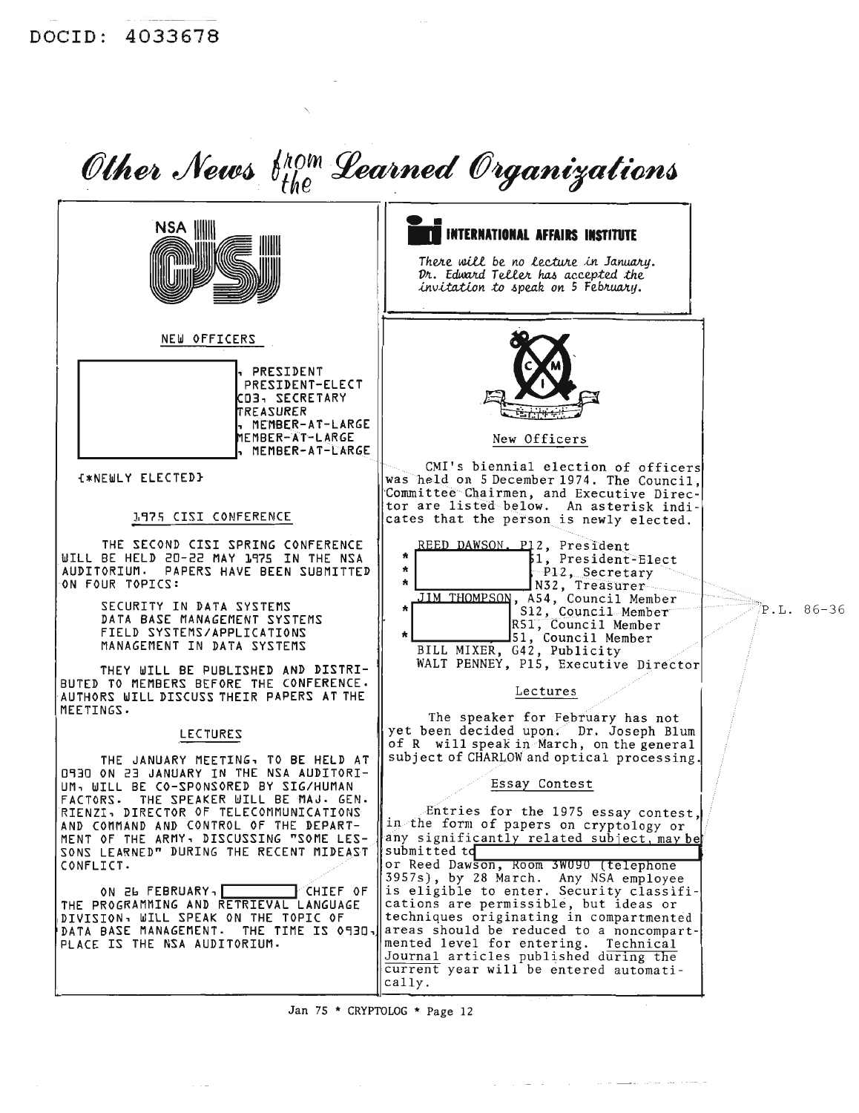

Jan 75 \* CRYPTOLOG \* Page 12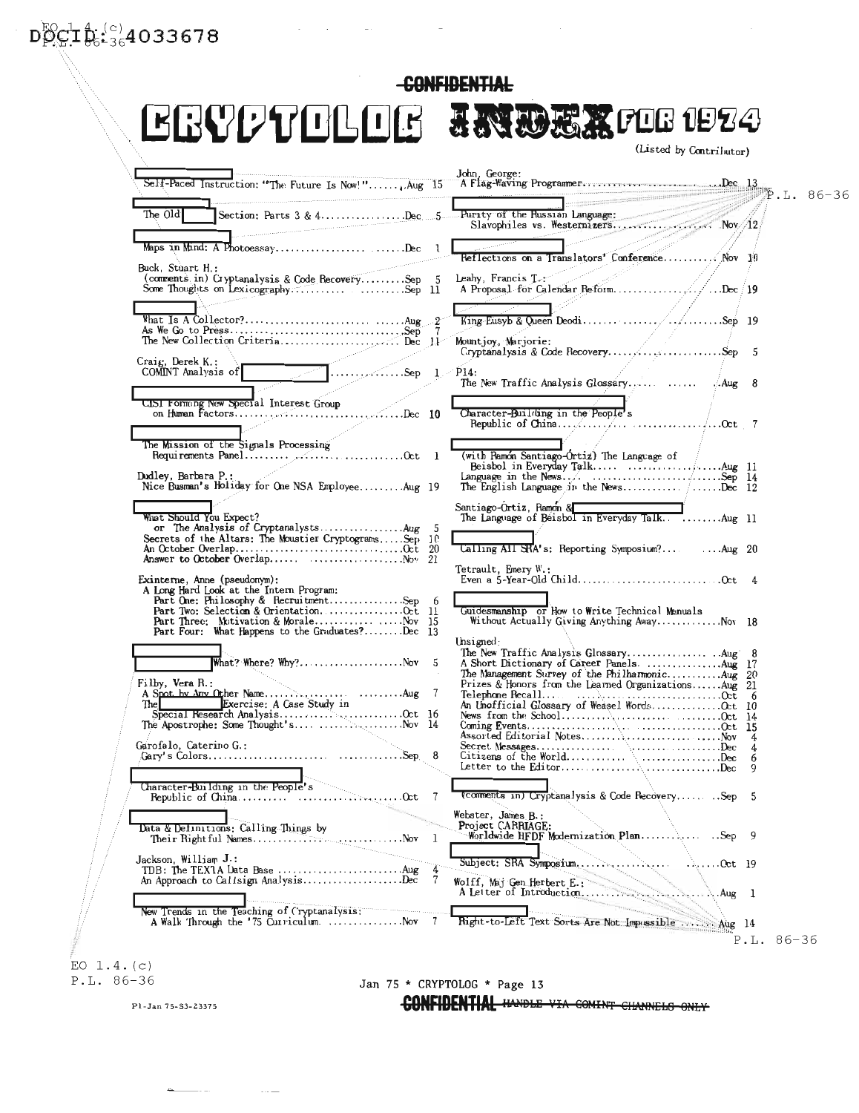# $D_{12}^{10}C_{12}^{10} \hat{B}_{6-36}^{(c)}$ 4033678

| <b>GRAAANTIFITR</b>                                                                                                                  |              | <b>TAMPET LOC 1854</b><br>(Listed by Contributor)                                                                                                                                                                                                                                 |  |
|--------------------------------------------------------------------------------------------------------------------------------------|--------------|-----------------------------------------------------------------------------------------------------------------------------------------------------------------------------------------------------------------------------------------------------------------------------------|--|
| Self-Paced Instruction: "The Future Is Now!", Aug 15                                                                                 |              | John, George:                                                                                                                                                                                                                                                                     |  |
| The Old                                                                                                                              |              |                                                                                                                                                                                                                                                                                   |  |
| Maps in Mind: A PhotoessayDec l                                                                                                      |              | and the company of the company of the company of the company of the company of the company of the company of the company of the company of the company of the company of the company of the company of the company of the comp<br>Reflections on a Translators' Conference Nov 10 |  |
| Buck, Stuart H.:<br>(comments in) Cryptanalysis & Code RecoverySep 5<br>Some Thoughts on LexicographySep 11                          |              |                                                                                                                                                                                                                                                                                   |  |
|                                                                                                                                      |              |                                                                                                                                                                                                                                                                                   |  |
|                                                                                                                                      |              | Mountjoy, Marjorie:                                                                                                                                                                                                                                                               |  |
| Craig, Derek K.:<br>COMINT Analysis of Communication COMINT Analysis of Communication COMINT Analysis of Communication Communication |              |                                                                                                                                                                                                                                                                                   |  |
| CISI Forming New Special Interest Group                                                                                              |              | Character-Building in the People's                                                                                                                                                                                                                                                |  |
|                                                                                                                                      |              |                                                                                                                                                                                                                                                                                   |  |
| Dudley, Barbara P.:<br>Nice Busman's Holiday for One NSA EmployeeAug 19                                                              |              |                                                                                                                                                                                                                                                                                   |  |
|                                                                                                                                      |              | Santiago-Ortiz, Ramon & Electronic Martin March 11<br>The Language of Beisbol in Everyday TalkAug 11                                                                                                                                                                              |  |
| What Should You Expect?<br>Secrets of the Altars: The Moustier CryptogramsSep 10                                                     |              | Calling All SRA's: Reporting Symposium? Aug 20                                                                                                                                                                                                                                    |  |
|                                                                                                                                      |              | Tetrault, Emery W.:                                                                                                                                                                                                                                                               |  |
| Exinterne, Anne (pseudonym):                                                                                                         |              |                                                                                                                                                                                                                                                                                   |  |
|                                                                                                                                      |              | Guidesmanship or How to Write Technical Menuals<br>Without Actually Giving Anything AwayNov 18                                                                                                                                                                                    |  |
| What? Where? Why?Nov 5                                                                                                               |              | Unsigned:                                                                                                                                                                                                                                                                         |  |
| Filby, Vera R.:                                                                                                                      |              |                                                                                                                                                                                                                                                                                   |  |
|                                                                                                                                      |              |                                                                                                                                                                                                                                                                                   |  |
|                                                                                                                                      |              |                                                                                                                                                                                                                                                                                   |  |
| Garofalo, Caterino G.:                                                                                                               |              | Assorted Editorial NotesNov 4                                                                                                                                                                                                                                                     |  |
|                                                                                                                                      |              | Citizens of the WorldDec 6<br>Letter to the EditorDec $9$                                                                                                                                                                                                                         |  |
|                                                                                                                                      |              |                                                                                                                                                                                                                                                                                   |  |
| Character-Building in the People's                                                                                                   |              | (comments in) Cryptanalysis & Code Recovery Sep 5                                                                                                                                                                                                                                 |  |
| Data & Definitions: Calling Things by                                                                                                |              | Webster, James B.:<br>Project CARRIAGE:                                                                                                                                                                                                                                           |  |
| Jackson, William J.:                                                                                                                 | $\mathbf{a}$ | Subject: SRA Symposium<br>$\ldots$ Oct 19                                                                                                                                                                                                                                         |  |
| An Approach to Callsign AnalysisDec                                                                                                  | - 7          |                                                                                                                                                                                                                                                                                   |  |
| New Trends in the Teaching of ('ryptanalysis;"<br>A Walk Through the '75 Curriculum Nov 7                                            |              | Right-to-Left Text Sorts Are Not Impossible  Aug 14                                                                                                                                                                                                                               |  |

 $\mathcal{L}(\mathcal{L}(\mathcal{L}(\mathcal{L}(\mathcal{L}(\mathcal{L}(\mathcal{L}(\mathcal{L}(\mathcal{L}(\mathcal{L}(\mathcal{L}(\mathcal{L}(\mathcal{L}(\mathcal{L}(\mathcal{L}(\mathcal{L}(\mathcal{L}(\mathcal{L}(\mathcal{L}(\mathcal{L}(\mathcal{L}(\mathcal{L}(\mathcal{L}(\mathcal{L}(\mathcal{L}(\mathcal{L}(\mathcal{L}(\mathcal{L}(\mathcal{L}(\mathcal{L}(\mathcal{L}(\mathcal{L}(\mathcal{L}(\mathcal{L}(\mathcal{L}(\mathcal{L}(\mathcal{$ 

 $\sim$ 

-CONFIDENTIAL

EO  $1.4. (c)$ <br>P.L. 86-36

#### Jan 75 \* CRYPTOLOG \* Page 13

CONFIDENTIAL HANDLE VIA COMINT CHANNELS ONLY

Pl-Jan 75-S3-23375

 $\frac{1}{2} \frac{1}{2} \left( \frac{1}{2} \frac{1}{2} \right) \left( \frac{1}{2} \frac{1}{2} \right) \left( \frac{1}{2} \right) \left( \frac{1}{2} \right) \left( \frac{1}{2} \right) \left( \frac{1}{2} \right) \left( \frac{1}{2} \right) \left( \frac{1}{2} \right) \left( \frac{1}{2} \right) \left( \frac{1}{2} \right) \left( \frac{1}{2} \right) \left( \frac{1}{2} \right) \left( \frac{1}{2} \right) \left( \frac{1}{2} \right) \left( \frac{1}{2}$ 

 $\dots$   $-$